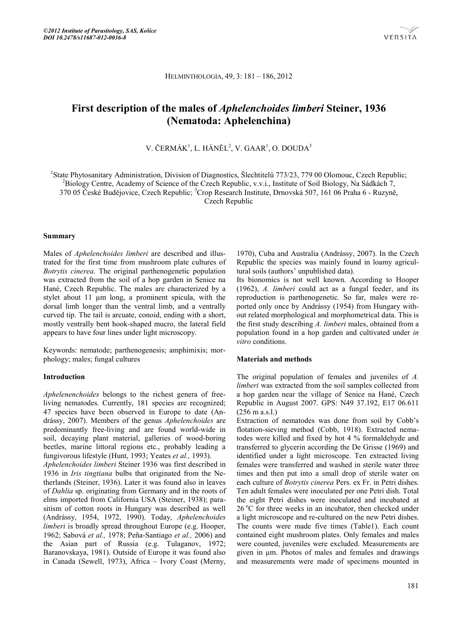### HELMINTHOLOGIA, 49, 3: 181 – 186, 2012

# **First description of the males of** *Aphelenchoides limberi* **Steiner, 1936 (Nematoda: Aphelenchina)**

V. ČERMÁK $^1$ , L. HÁNĚL $^2$ , V. GAAR $^1$ , O. DOUDA $^3$ 

<sup>1</sup>State Phytosanitary Administration, Division of Diagnostics, Šlechtitelů 773/23, 779 00 Olomouc, Czech Republic;<br><sup>2</sup> Biology Contra Agedomy of Science of the Czech Bonyblic wyj. Institute of Soil Biology, Na Sódkéch 7. <sup>2</sup>Biology Centre, Academy of Science of the Czech Republic, v.v.i., Institute of Soil Biology, Na Sádkách 7, 370 05 České Budějovice, Czech Republic; <sup>3</sup>Crop Research Institute, Drnovská 507, 161 06 Praha 6 - Ruzyně, Czech Republic

#### **Summary**

Males of *Aphelenchoides limberi* are described and illustrated for the first time from mushroom plate cultures of *Botrytis cinerea*. The original parthenogenetic population was extracted from the soil of a hop garden in Senice na Hané, Czech Republic. The males are characterized by a stylet about 11 μm long, a prominent spicula, with the dorsal limb longer than the ventral limb, and a ventrally curved tip. The tail is arcuate, conoid, ending with a short, mostly ventrally bent hook-shaped mucro, the lateral field appears to have four lines under light microscopy.

Keywords: nematode; parthenogenesis; amphimixis; morphology; males; fungal cultures

## **Introduction**

*Aphelenenchoides* belongs to the richest genera of freeliving nematodes. Currently, 181 species are recognized; 47 species have been observed in Europe to date (Andrássy, 2007). Members of the genus *Aphelenchoides* are predominantly free-living and are found world-wide in soil, decaying plant material, galleries of wood-boring beetles, marine littoral regions etc., probably leading a fungivorous lifestyle (Hunt, 1993; Yeates *et al.,* 1993).

*Aphelenchoides limberi* Steiner 1936 was first described in 1936 in *Iris tingtiana* bulbs that originated from the Netherlands (Steiner, 1936). Later it was found also in leaves of *Dahlia* sp. originating from Germany and in the roots of elms imported from California USA (Steiner, 1938); parasitism of cotton roots in Hungary was described as well (Andrássy, 1954, 1972, 1990). Today, *Aphelenchoides limberi* is broadly spread throughout Europe (e.g. Hooper, 1962; Sabová *et al.,* 1978; Peña-Santiago *et al.,* 2006) and the Asian part of Russia (e.g. Tulaganov, 1972; Baranovskaya, 1981). Outside of Europe it was found also in Canada (Sewell, 1973), Africa – Ivory Coast (Merny,

1970), Cuba and Australia (Andrássy, 2007). In the Czech Republic the species was mainly found in loamy agricultural soils (authors' unpublished data).

Its bionomics is not well known. According to Hooper (1962), *A. limberi* could act as a fungal feeder, and its reproduction is parthenogenetic. So far, males were reported only once by Andrássy (1954) from Hungary without related morphological and morphometrical data. This is the first study describing *A. limberi* males, obtained from a population found in a hop garden and cultivated under *in vitro* conditions.

#### **Materials and methods**

The original population of females and juveniles of *A. limberi* was extracted from the soil samples collected from a hop garden near the village of Senice na Hané, Czech Republic in August 2007. GPS: N49 37.192, E17 06.611 (256 m a.s.l.)

Extraction of nematodes was done from soil by Cobb's flotation-sieving method (Cobb, 1918). Extracted nematodes were killed and fixed by hot 4 % formaldehyde and transferred to glycerin according the De Grisse (1969) and identified under a light microscope. Ten extracted living females were transferred and washed in sterile water three times and then put into a small drop of sterile water on each culture of *Botrytis cinerea* Pers. ex Fr. in Petri dishes. Ten adult females were inoculated per one Petri dish. Total the eight Petri dishes were inoculated and incubated at 26 °C for three weeks in an incubator, then checked under a light microscope and re-cultured on the new Petri dishes. The counts were made five times (Table1). Each count contained eight mushroom plates. Only females and males were counted, juveniles were excluded. Measurements are given in μm. Photos of males and females and drawings and measurements were made of specimens mounted in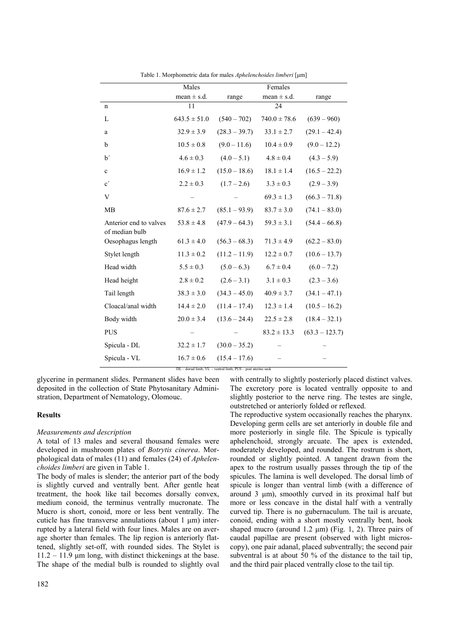|                                          | able 1. http://www.ca.u.u.ior.mail@example.com/www.com/willi<br>Females<br>Males |                 |                  |                  |
|------------------------------------------|----------------------------------------------------------------------------------|-----------------|------------------|------------------|
|                                          | mean $\pm$ s.d.                                                                  | range           | mean $\pm$ s.d.  | range            |
| $\mathbf n$                              | 11                                                                               |                 | 24               |                  |
| L                                        | $643.5 \pm 51.0$                                                                 | $(540 - 702)$   | $740.0 \pm 78.6$ | $(639 - 960)$    |
| a                                        | $32.9 \pm 3.9$                                                                   | $(28.3 - 39.7)$ | $33.1 \pm 2.7$   | $(29.1 - 42.4)$  |
| b                                        | $10.5 \pm 0.8$                                                                   | $(9.0 - 11.6)$  | $10.4 \pm 0.9$   | $(9.0 - 12.2)$   |
| $\mathbf{b}'$                            | $4.6 \pm 0.3$                                                                    | $(4.0 - 5.1)$   | $4.8 \pm 0.4$    | $(4.3 - 5.9)$    |
| $\mathbf c$                              | $16.9 \pm 1.2$                                                                   | $(15.0 - 18.6)$ | $18.1 \pm 1.4$   | $(16.5 - 22.2)$  |
| $\mathbf{c}^{\prime}$                    | $2.2 \pm 0.3$                                                                    | $(1.7 - 2.6)$   | $3.3 \pm 0.3$    | $(2.9 - 3.9)$    |
| V                                        |                                                                                  |                 | $69.3 \pm 1.3$   | $(66.3 - 71.8)$  |
| MB                                       | $87.6 \pm 2.7$                                                                   | $(85.1 - 93.9)$ | $83.7 \pm 3.0$   | $(74.1 - 83.0)$  |
| Anterior end to valves<br>of median bulb | $53.8 \pm 4.8$                                                                   | $(47.9 - 64.3)$ | $59.3 \pm 3.1$   | $(54.4 - 66.8)$  |
| Oesophagus length                        | $61.3 \pm 4.0$                                                                   | $(56.3 - 68.3)$ | $71.3 \pm 4.9$   | $(62.2 - 83.0)$  |
| Stylet length                            | $11.3 \pm 0.2$                                                                   | $(11.2 - 11.9)$ | $12.2 \pm 0.7$   | $(10.6 - 13.7)$  |
| Head width                               | $5.5 \pm 0.3$                                                                    | $(5.0 - 6.3)$   | $6.7 \pm 0.4$    | $(6.0 - 7.2)$    |
| Head height                              | $2.8 \pm 0.2$                                                                    | $(2.6 - 3.1)$   | $3.1 \pm 0.3$    | $(2.3 - 3.6)$    |
| Tail length                              | $38.3 \pm 3.0$                                                                   | $(34.3 - 45.0)$ | $40.9 \pm 3.7$   | $(34.1 - 47.1)$  |
| Cloacal/anal width                       | $14.4 \pm 2.0$                                                                   | $(11.4 - 17.4)$ | $12.3 \pm 1.4$   | $(10.5 - 16.2)$  |
| Body width                               | $20.0 \pm 3.4$                                                                   | $(13.6 - 24.4)$ | $22.5 \pm 2.8$   | $(18.4 - 32.1)$  |
| <b>PUS</b>                               |                                                                                  |                 | $83.2 \pm 13.3$  | $(63.3 - 123.7)$ |
| Spicula - DL                             | $32.2 \pm 1.7$                                                                   | $(30.0 - 35.2)$ |                  |                  |
| Spicula - VL                             | $16.7 \pm 0.6$                                                                   | $(15.4 - 17.6)$ |                  |                  |

Table 1. Morphometric data for males *Aphelenchoides limberi* [μm]

DL – dorsal limb; VL - ventral limb; PUS – post uterine sack

glycerine in permanent slides. Permanent slides have been deposited in the collection of State Phytosanitary Administration, Department of Nematology, Olomouc.

# **Results**

#### *Measurements and description*

A total of 13 males and several thousand females were developed in mushroom plates of *Botrytis cinerea*. Morphological data of males (11) and females (24) of *Aphelenchoides limberi* are given in Table 1.

The body of males is slender; the anterior part of the body is slightly curved and ventrally bent. After gentle heat treatment, the hook like tail becomes dorsally convex, medium conoid, the terminus ventrally mucronate. The Mucro is short, conoid, more or less bent ventrally. The cuticle has fine transverse annulations (about 1 μm) interrupted by a lateral field with four lines. Males are on average shorter than females. The lip region is anteriorly flattened, slightly set-off, with rounded sides. The Stylet is  $11.2 - 11.9$  μm long, with distinct thickenings at the base. The shape of the medial bulb is rounded to slightly oval

182

with centrally to slightly posteriorly placed distinct valves. The excretory pore is located ventrally opposite to and slightly posterior to the nerve ring. The testes are single, outstretched or anteriorly folded or reflexed.

The reproductive system occasionally reaches the pharynx. Developing germ cells are set anteriorly in double file and more posteriorly in single file. The Spicule is typically aphelenchoid, strongly arcuate. The apex is extended, moderately developed, and rounded. The rostrum is short, rounded or slightly pointed. A tangent drawn from the apex to the rostrum usually passes through the tip of the spicules. The lamina is well developed. The dorsal limb of spicule is longer than ventral limb (with a difference of around 3 μm), smoothly curved in its proximal half but more or less concave in the distal half with a ventrally curved tip. There is no gubernaculum. The tail is arcuate, conoid, ending with a short mostly ventrally bent, hook shaped mucro (around 1.2  $\mu$ m) (Fig. 1, 2). Three pairs of caudal papillae are present (observed with light microscopy), one pair adanal, placed subventrally; the second pair subventral is at about 50 % of the distance to the tail tip, and the third pair placed ventrally close to the tail tip.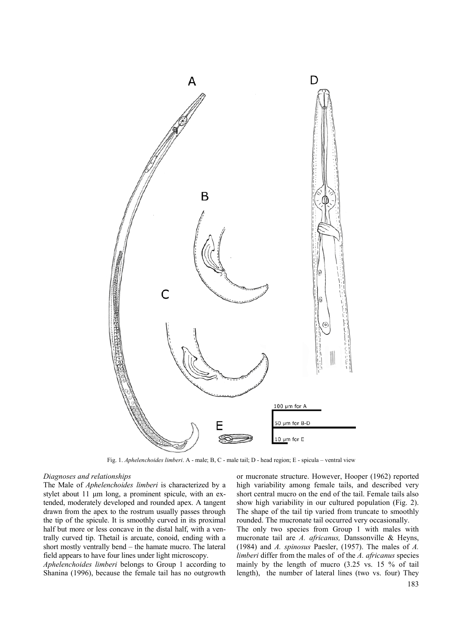

Fig. 1. *Aphelenchoides limberi*. A - male; B, C - male tail; D - head region; E - spicula – ventral view

#### *Diagnoses and relationships*

The Male of *Aphelenchoides limberi* is characterized by a stylet about 11 μm long, a prominent spicule, with an extended, moderately developed and rounded apex. A tangent drawn from the apex to the rostrum usually passes through the tip of the spicule. It is smoothly curved in its proximal half but more or less concave in the distal half, with a ventrally curved tip. Thetail is arcuate, conoid, ending with a short mostly ventrally bend – the hamate mucro. The lateral field appears to have four lines under light microscopy.

*Aphelenchoides limberi* belongs to Group 1 according to Shanina (1996), because the female tail has no outgrowth or mucronate structure. However, Hooper (1962) reported high variability among female tails, and described very short central mucro on the end of the tail. Female tails also show high variability in our cultured population (Fig. 2). The shape of the tail tip varied from truncate to smoothly rounded. The mucronate tail occurred very occasionally.

The only two species from Group 1 with males with mucronate tail are *A. africanus,* Danssonville & Heyns, (1984) and *A. spinosus* Paesler, (1957). The males of *A. limberi* differ from the males of of the *A. africanus* species mainly by the length of mucro (3.25 vs. 15 % of tail length), the number of lateral lines (two vs. four) They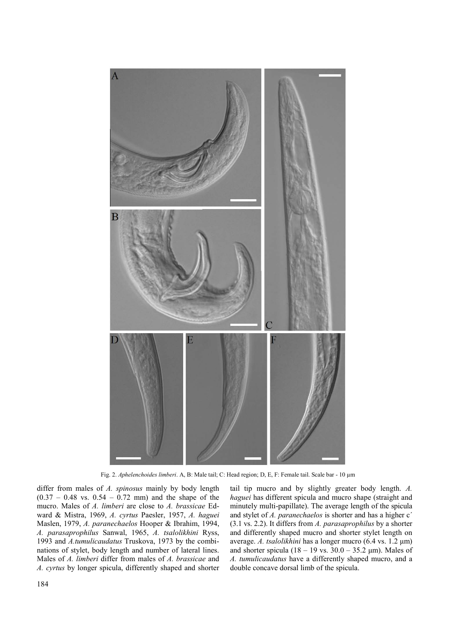

Fig. 2. *Aphelenchoides limberi*. A, B: Male tail; C: Head region; D, E, F: Female tail. Scale bar - 10 µm

differ from males of *A. spinosus* mainly by body length  $(0.37 - 0.48$  vs.  $0.54 - 0.72$  mm) and the shape of the mucro. Males of *A. limberi* are close to *A. brassicae* Edward & Mistra, 1969, *A. cyrtus* Paesler, 1957, *A. haguei* Maslen, 1979, *A. paranechaelos* Hooper & Ibrahim, 1994, *A. parasaprophilus* Sanwal, 1965, *A. tsalolikhini* Ryss, 1993 and *A.tumulicaudatus* Truskova, 1973 by the combinations of stylet, body length and number of lateral lines. Males of *A. limberi* differ from males of *A. brassicae* and *A. cyrtus* by longer spicula, differently shaped and shorter tail tip mucro and by slightly greater body length. *A. haguei* has different spicula and mucro shape (straight and minutely multi-papillate). The average length of the spicula and stylet of *A. paranechaelos* is shorter and has a higher c<sup>'</sup> (3.1 vs. 2.2). It differs from *A. parasaprophilus* by a shorter and differently shaped mucro and shorter stylet length on average. *A. tsalolikhini* has a longer mucro (6.4 vs. 1.2 μm) and shorter spicula  $(18 - 19 \text{ vs. } 30.0 - 35.2 \text{ µm})$ . Males of *A. tumulicaudatus* have a differently shaped mucro, and a double concave dorsal limb of the spicula.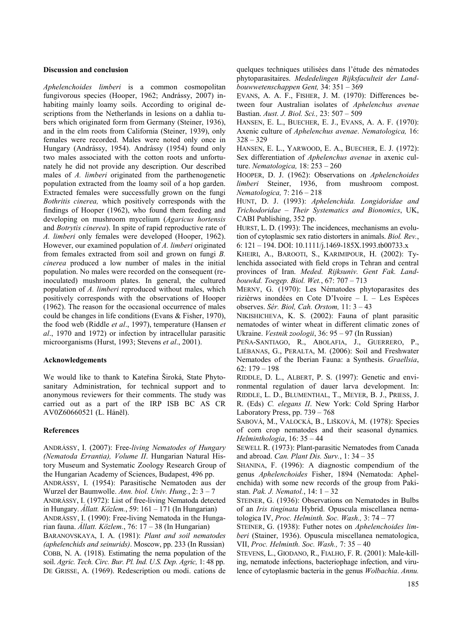#### **Discussion and conclusion**

*Aphelenchoides limberi* is a common cosmopolitan fungivorous species (Hooper, 1962; Andrássy, 2007) inhabiting mainly loamy soils. According to original descriptions from the Netherlands in lesions on a dahlia tubers which originated form from Germany (Steiner, 1936), and in the elm roots from California (Steiner, 1939), only females were recorded. Males were noted only once in Hungary (Andrássy, 1954). Andrássy (1954) found only two males associated with the cotton roots and unfortunately he did not provide any description. Our described males of *A. limberi* originated from the parthenogenetic population extracted from the loamy soil of a hop garden. Extracted females were successfully grown on the fungi *Bothritis cinerea,* which positively corresponds with the findings of Hooper (1962), who found them feeding and developing on mushroom mycelium (*Agaricus hortensis* and *Botrytis cinerea*). In spite of rapid reproductive rate of *A. limberi* only females were developed (Hooper, 1962). However, our examined population of *A. limberi* originated from females extracted from soil and grown on fungi *B. cinerea* produced a low number of males in the initial population. No males were recorded on the consequent (reinoculated) mushroom plates. In general, the cultured population of *A. limberi* reproduced without males, which positively corresponds with the observations of Hooper (1962). The reason for the occasional occurrence of males could be changes in life conditions (Evans & Fisher, 1970), the food web (Riddle *et al*., 1997), temperature (Hansen *et al*., 1970 and 1972) or infection by intracellular parasitic microorganisms (Hurst, 1993; Stevens *et al*., 2001).

## **Acknowledgements**

We would like to thank to Kateřina Široká, State Phytosanitary Administration, for technical support and to anonymous reviewers for their comments. The study was carried out as a part of the IRP ISB BC AS CR AV0Z60660521 (L. Háněl).

# **References**

ANDRÁSSY, I. (2007): Free*-living Nematodes of Hungary (Nematoda Errantia), Volume II*. Hungarian Natural History Museum and Systematic Zoology Research Group of the Hungarian Academy of Sciences, Budapest, 496 pp. ANDRÁSSY, I. (1954): Parasitische Nematoden aus der Wurzel der Baumwolle. *Ann. biol. Univ. Hung.*, 2: 3 – 7 ANDRÁSSY, I. (1972): List of free-living Nematoda detected in Hungary. *Állatt. Közlem.*, 59: 161 – 171 (In Hungarian) ANDRÁSSY, I. (1990): Free-living Nematoda in the Hungarian fauna. *Állatt. Közlem.*, 76: 17 – 38 (In Hungarian) BARANOVSKAYA, I. A. (1981): *Plant and soil nematodes (aphelenchids and seinurids)*. Moscow, pp. 233 (In Russian) COBB, N. A. (1918). Estimating the nema population of the soil. *Agric. Tech. Circ. Bur. Pl. Ind. U.S. Dep. Agric,* 1: 48 pp. DE GRISSE, A. (1969). Redescription ou modi. cations de

quelques techniques utilisées dans l'étude des nématodes phytoparasitaires. *Mededelingen Rijksfaculteit der Landbouwwetenschappen Gent,* 34: 351 – 369

EVANS, A. A. F., FISHER, J. M. (1970): Differences between four Australian isolates of *Aphelenchus avenae* Bastian. *Aust. J. Biol. Sci.,* 23: 507 – 509

HANSEN, E. L., BUECHER, E. J., EVANS, A. A. F. (1970): Axenic culture of *Aphelenchus avenae*. *Nematologica,* 16: 328 – 329

HANSEN, E. L., YARWOOD, E. A., BUECHER, E. J. (1972): Sex differentiation of *Aphelenchus avenae* in axenic culture. *Nematologica,* 18: 253 – 260

HOOPER, D. J. (1962): Observations on *Aphelenchoides limberi* Steiner, 1936, from mushroom compost. *Nematologica,* 7: 216 – 218

HUNT, D. J. (1993): *Aphelenchida. Longidoridae and Trichodoridae – Their Systematics and Bionomics*, UK, CABI Publishing, 352 pp.

HURST, L. D. (1993): The incidences, mechanisms an evolution of cytoplasmic sex ratio distorters in animals. *Biol. Rev.*, 6: 121 – 194. DOI: 10.1111/j.1469-185X.1993.tb00733.x

KHEIRI, A., BAROOTI, S., KARIMIPOUR, H. (2002): Tylenchida associated with field crops in Tehran and central provinces of Iran. *Meded. Rijksuniv. Gent Fak. Landbouwkd. Toegep. Biol. Wet.*, 67: 707 – 713

MERNY, G. (1970): Les Nématodes phytoparasites des rizièrws inondées en Cote D'Ivoire – I. – Les Espèces observes. *Sér. Biol, Cah. Orstom,* 11: 3 – 43

NIKISHICHEVA, K. S. (2002): Fauna of plant parasitic nematodes of winter wheat in different climatic zones of Ukraine. *Vestnik zoologii*, 36: 95 – 97 (In Russian)

PEÑA-SANTIAGO, R., ABOLAFIA, J., GUERRERO, P., LIÉBANAS, G., PERALTA, M. (2006): Soil and Freshwater Nematodes of the Iberian Fauna: a Synthesis. *Graellsia*, 62: 179 – 198

RIDDLE, D. L., ALBERT, P. S. (1997): Genetic and environmental regulation of dauer larva development. In: RIDDLE, L. D., BLUMENTHAL, T., MEYER, B. J., PRIESS, J. R. (Eds) *C. elegans II*. New York: Cold Spring Harbor Laboratory Press, pp. 739 – 768

SABOVÁ, M., VALOCKÁ, B., LIŠKOVÁ, M. (1978): Species of corn crop nematodes and their seasonal dynamics*. Helminthologia*, 16: 35 – 44

SEWELL R. (1973): Plant-parasitic Nematodes from Canada and abroad. *Can. Plant Dis. Surv.*, 1: 34 – 35

SHANINA, F. (1996): A diagnostic compendium of the genus *Aphelenchoides* Fisher, 1894 (Nematoda: Aphelenchida) with some new records of the group from Pakistan. *Pak. J. Nematol.*, 14: 1 – 32

STEINER, G. (1936): Observations on Nematodes in Bulbs of an *Iris tinginata* Hybrid. Opuscula miscellanea nematologica IV, *Proc. Helminth. Soc. Wash.,* 3: 74 – 77

STEINER, G. (1938): Futher notes on *Aphelenchoides limberi* (Stainer, 1936). Opuscula miscellanea nematologica, VII, *Proc. Helminth. Soc. Wash.,* 7: 35 – 40

STEVENS, L., GIODANO, R., FIALHO, F. R. (2001): Male-killing, nematode infections, bacteriophage infection, and virulence of cytoplasmic bacteria in the genus *Wolbachia*. *Annu.*